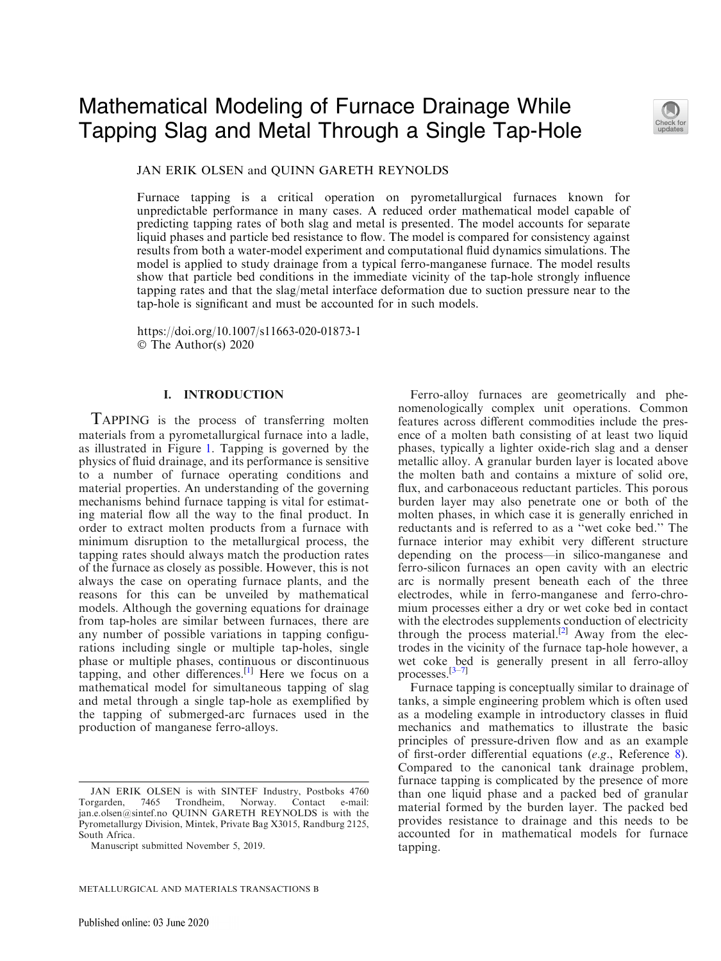# Mathematical Modeling of Furnace Drainage While Tapping Slag and Metal Through a Single Tap-Hole



JAN ERIK OLSEN and QUINN GARETH REYNOLDS

Furnace tapping is a critical operation on pyrometallurgical furnaces known for unpredictable performance in many cases. A reduced order mathematical model capable of predicting tapping rates of both slag and metal is presented. The model accounts for separate liquid phases and particle bed resistance to flow. The model is compared for consistency against results from both a water-model experiment and computational fluid dynamics simulations. The model is applied to study drainage from a typical ferro-manganese furnace. The model results show that particle bed conditions in the immediate vicinity of the tap-hole strongly influence tapping rates and that the slag/metal interface deformation due to suction pressure near to the tap-hole is significant and must be accounted for in such models.

https://doi.org/10.1007/s11663-020-01873-1 © The Author(s) 2020

## I. INTRODUCTION

TAPPING is the process of transferring molten materials from a pyrometallurgical furnace into a ladle, as illustrated in Figure [1](#page-1-0). Tapping is governed by the physics of fluid drainage, and its performance is sensitive to a number of furnace operating conditions and material properties. An understanding of the governing mechanisms behind furnace tapping is vital for estimating material flow all the way to the final product. In order to extract molten products from a furnace with minimum disruption to the metallurgical process, the tapping rates should always match the production rates of the furnace as closely as possible. However, this is not always the case on operating furnace plants, and the reasons for this can be unveiled by mathematical models. Although the governing equations for drainage from tap-holes are similar between furnaces, there are any number of possible variations in tapping configurations including single or multiple tap-holes, single phase or multiple phases, continuous or discontinuous tapping, and other differences.<sup>[[1\]](#page-9-0)</sup> Here we focus on a mathematical model for simultaneous tapping of slag and metal through a single tap-hole as exemplified by the tapping of submerged-arc furnaces used in the production of manganese ferro-alloys.

METALLURGICAL AND MATERIALS TRANSACTIONS B

Ferro-alloy furnaces are geometrically and phenomenologically complex unit operations. Common features across different commodities include the presence of a molten bath consisting of at least two liquid phases, typically a lighter oxide-rich slag and a denser metallic alloy. A granular burden layer is located above the molten bath and contains a mixture of solid ore, flux, and carbonaceous reductant particles. This porous burden layer may also penetrate one or both of the molten phases, in which case it is generally enriched in reductants and is referred to as a ''wet coke bed.'' The furnace interior may exhibit very different structure depending on the process—in silico-manganese and ferro-silicon furnaces an open cavity with an electric arc is normally present beneath each of the three electrodes, while in ferro-manganese and ferro-chromium processes either a dry or wet coke bed in contact with the electrodes supplements conduction of electricity through the process material.<sup>[\[2\]](#page-9-0)</sup> Away from the electrodes in the vicinity of the furnace tap-hole however, a wet coke bed is generally present in all ferro-alloy processes.[\[3–7](#page-9-0)]

Furnace tapping is conceptually similar to drainage of tanks, a simple engineering problem which is often used as a modeling example in introductory classes in fluid mechanics and mathematics to illustrate the basic principles of pressure-driven flow and as an example of first-order differential equations (e.g., Reference [8\)](#page-9-0). Compared to the canonical tank drainage problem, furnace tapping is complicated by the presence of more than one liquid phase and a packed bed of granular material formed by the burden layer. The packed bed provides resistance to drainage and this needs to be accounted for in mathematical models for furnace tapping.

JAN ERIK OLSEN is with SINTEF Industry, Postboks 4760 Torgarden, 7465 Trondheim, Norway. Contact e-mail: jan.e.olsen@sintef.no QUINN GARETH REYNOLDS is with the Pyrometallurgy Division, Mintek, Private Bag X3015, Randburg 2125, South Africa.

Manuscript submitted November 5, 2019.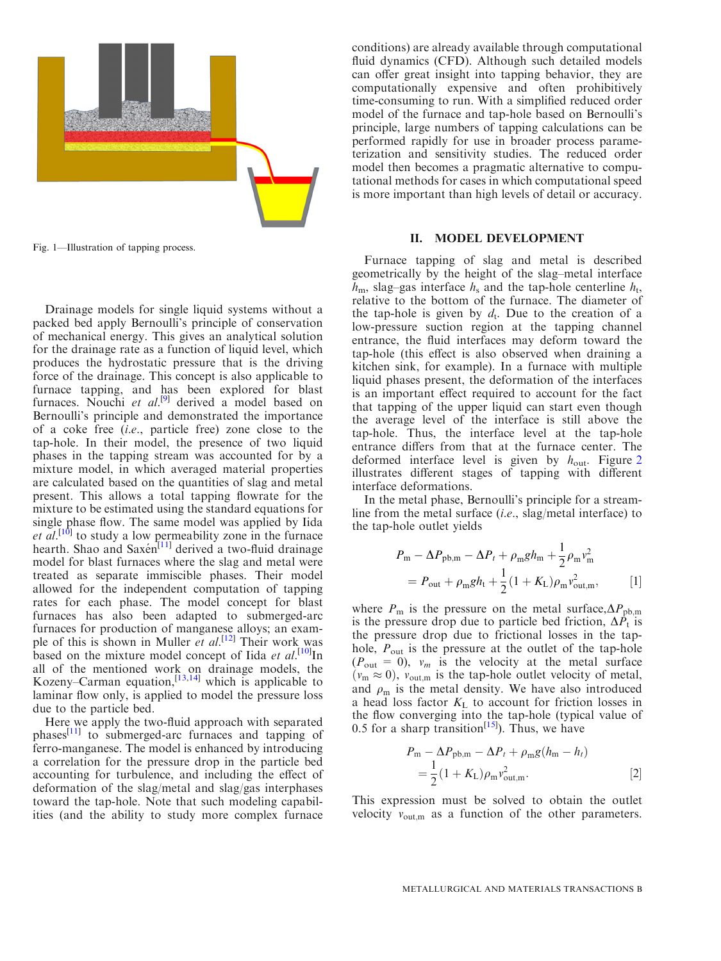<span id="page-1-0"></span>

Fig. 1—Illustration of tapping process.

Drainage models for single liquid systems without a packed bed apply Bernoulli's principle of conservation of mechanical energy. This gives an analytical solution for the drainage rate as a function of liquid level, which produces the hydrostatic pressure that is the driving force of the drainage. This concept is also applicable to furnace tapping, and has been explored for blast furnaces. Nouchi et  $al^{[9]}$  $al^{[9]}$  $al^{[9]}$  derived a model based on Bernoulli's principle and demonstrated the importance of a coke free (i.e., particle free) zone close to the tap-hole. In their model, the presence of two liquid phases in the tapping stream was accounted for by a mixture model, in which averaged material properties are calculated based on the quantities of slag and metal present. This allows a total tapping flowrate for the mixture to be estimated using the standard equations for single phase flow. The same model was applied by Iida et  $\overline{al}$ .<sup>[\[10\]](#page-9-0)</sup> to study a low permeability zone in the furnace hearth. Shao and Saxen<sup>[[11](#page-9-0)]</sup> derived a two-fluid drainage model for blast furnaces where the slag and metal were treated as separate immiscible phases. Their model allowed for the independent computation of tapping rates for each phase. The model concept for blast furnaces has also been adapted to submerged-arc furnaces for production of manganese alloys; an example of this is shown in Muller et  $al$ <sup>[\[12\]](#page-9-0)</sup> Their work was based on the mixture model concept of Iida et  $al$ <sup>[\[10\]](#page-9-0)</sup>In all of the mentioned work on drainage models, the Kozeny–Carman equation, $[13,14]$  $[13,14]$  which is applicable to laminar flow only, is applied to model the pressure loss due to the particle bed.

Here we apply the two-fluid approach with separated  $phases<sup>[11]</sup>$  $phases<sup>[11]</sup>$  $phases<sup>[11]</sup>$  to submerged-arc furnaces and tapping of ferro-manganese. The model is enhanced by introducing a correlation for the pressure drop in the particle bed accounting for turbulence, and including the effect of deformation of the slag/metal and slag/gas interphases toward the tap-hole. Note that such modeling capabilities (and the ability to study more complex furnace

conditions) are already available through computational fluid dynamics (CFD). Although such detailed models can offer great insight into tapping behavior, they are computationally expensive and often prohibitively time-consuming to run. With a simplified reduced order model of the furnace and tap-hole based on Bernoulli's principle, large numbers of tapping calculations can be performed rapidly for use in broader process parameterization and sensitivity studies. The reduced order model then becomes a pragmatic alternative to computational methods for cases in which computational speed is more important than high levels of detail or accuracy.

### II. MODEL DEVELOPMENT

Furnace tapping of slag and metal is described geometrically by the height of the slag–metal interface  $h_{\rm m}$ , slag–gas interface  $h_{\rm s}$  and the tap-hole centerline  $h_{\rm t}$ , relative to the bottom of the furnace. The diameter of the tap-hole is given by  $d_t$ . Due to the creation of a low-pressure suction region at the tapping channel entrance, the fluid interfaces may deform toward the tap-hole (this effect is also observed when draining a kitchen sink, for example). In a furnace with multiple liquid phases present, the deformation of the interfaces is an important effect required to account for the fact that tapping of the upper liquid can start even though the average level of the interface is still above the tap-hole. Thus, the interface level at the tap-hole entrance differs from that at the furnace center. The deformed interface level is given by  $h_{\text{out}}$ . Figure [2](#page-2-0) illustrates different stages of tapping with different interface deformations.

In the metal phase, Bernoulli's principle for a streamline from the metal surface (i.e., slag/metal interface) to the tap-hole outlet yields

$$
P_{\rm m} - \Delta P_{\rm pb,m} - \Delta P_t + \rho_{\rm m} g h_{\rm m} + \frac{1}{2} \rho_{\rm m} v_{\rm m}^2
$$
  
=  $P_{\rm out} + \rho_{\rm m} g h_{\rm t} + \frac{1}{2} (1 + K_{\rm L}) \rho_{\rm m} v_{\rm out,m}^2,$  [1]

where  $P_{\text{m}}$  is the pressure on the metal surface,  $\Delta P_{\text{pb,m}}$ is the pressure drop due to particle bed friction,  $\Delta P_t$  is the pressure drop due to frictional losses in the taphole,  $P_{\text{out}}$  is the pressure at the outlet of the tap-hole  $(P_{\text{out}} = 0)$ ,  $v_m$  is the velocity at the metal surface  $(v_m \approx 0)$ ,  $v_{\text{out,m}}$  is the tap-hole outlet velocity of metal, and  $\rho_m$  is the metal density. We have also introduced a head loss factor  $K<sub>L</sub>$  to account for friction losses in the flow converging into the tap-hole (typical value of 0.5 for a sharp transition<sup>[[15](#page-9-0)]</sup>). Thus, we have

$$
P_{\rm m} - \Delta P_{\rm pb,m} - \Delta P_t + \rho_{\rm m} g (h_{\rm m} - h_t)
$$
  
= 
$$
\frac{1}{2} (1 + K_{\rm L}) \rho_{\rm m} v_{\rm out,m}^2.
$$
 [2]

This expression must be solved to obtain the outlet velocity  $v_{\text{out,m}}$  as a function of the other parameters.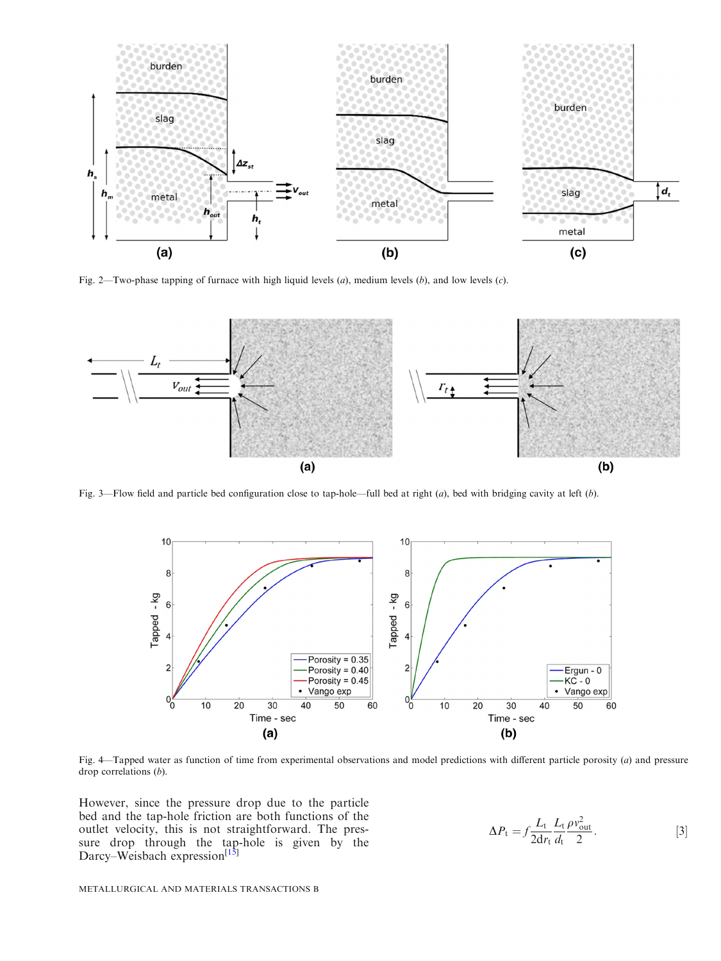<span id="page-2-0"></span>

Fig. 2—Two-phase tapping of furnace with high liquid levels  $(a)$ , medium levels  $(b)$ , and low levels  $(c)$ .



Fig. 3—Flow field and particle bed configuration close to tap-hole—full bed at right  $(a)$ , bed with bridging cavity at left  $(b)$ .



Fig. 4—Tapped water as function of time from experimental observations and model predictions with different particle porosity (a) and pressure drop correlations (b).

However, since the pressure drop due to the particle bed and the tap-hole friction are both functions of the outlet velocity, this is not straightforward. The pressure drop through the tap-hole is given by the Darcy–Weisbach expression<sup>[\[15\]](#page-9-0)</sup>

$$
\Delta P_{\rm t} = f \frac{L_{\rm t}}{2 \mathrm{d} r_{\rm t}} \frac{L_{\rm t}}{d_{\rm t}} \frac{\rho v_{\rm out}^2}{2}.
$$
 [3]

METALLURGICAL AND MATERIALS TRANSACTIONS B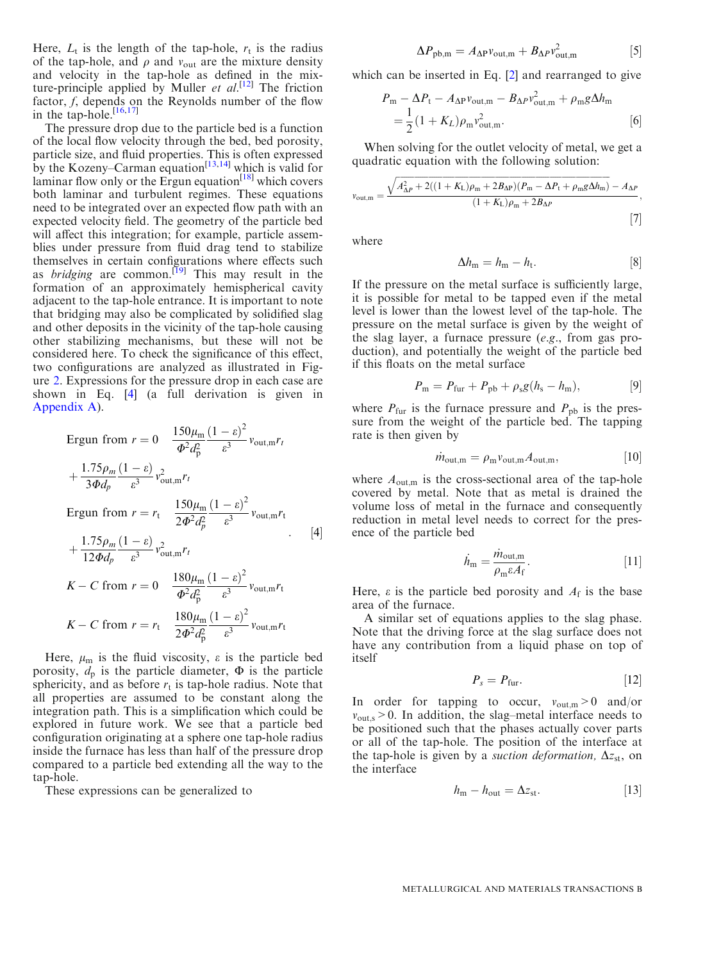<span id="page-3-0"></span>Here,  $L_t$  is the length of the tap-hole,  $r_t$  is the radius of the tap-hole, and  $\rho$  and  $v_{\text{out}}$  are the mixture density and velocity in the tap-hole as defined in the mixture-principle applied by Muller *et al.*<sup>[\[12\]](#page-9-0)</sup> The friction factor, f, depends on the Reynolds number of the flow in the tap-hole. $[16,17]$  $[16,17]$ 

The pressure drop due to the particle bed is a function of the local flow velocity through the bed, bed porosity, particle size, and fluid properties. This is often expressed by the Kozeny–Carman equation<sup>[[13,14\]](#page-9-0)</sup> which is valid for laminar flow only or the Ergun equation $^{[18]}$  $^{[18]}$  $^{[18]}$  which covers both laminar and turbulent regimes. These equations need to be integrated over an expected flow path with an expected velocity field. The geometry of the particle bed will affect this integration; for example, particle assemblies under pressure from fluid drag tend to stabilize themselves in certain configurations where effects such as *bridging* are common.<sup>[[19](#page-9-0)]</sup> This may result in the formation of an approximately hemispherical cavity adjacent to the tap-hole entrance. It is important to note that bridging may also be complicated by solidified slag and other deposits in the vicinity of the tap-hole causing other stabilizing mechanisms, but these will not be considered here. To check the significance of this effect, two configurations are analyzed as illustrated in Figure [2.](#page-2-0) Expressions for the pressure drop in each case are shown in Eq. [4] (a full derivation is given in Appendix A).

Equation (1) The equation is

\n
$$
r = 0 \quad \frac{150\mu_{\rm m}}{\Phi^2 d_p^2} \frac{(1 - \varepsilon)^2}{\varepsilon^3} v_{\text{out,m}} r_t + \frac{1.75\rho_m (1 - \varepsilon)}{3\Phi d_p} v_{\text{out,m}}^2 r_t
$$
\nEquation (1) The equation is

\n
$$
r = r_t \quad \frac{150\mu_{\rm m}}{2\Phi^2 d_p^2} \frac{(1 - \varepsilon)^2}{\varepsilon^3} v_{\text{out,m}} r_t + \frac{1.75\rho_m (1 - \varepsilon)}{12\Phi d_p} \frac{v_{\text{out,m}} r_t}{\varepsilon^3} v_{\text{out,m}}^2 r_t
$$
\n
$$
K - C \text{ from } r = 0 \quad \frac{180\mu_{\rm m}}{\Phi^2 d_p^2} \frac{(1 - \varepsilon)^2}{\varepsilon^3} v_{\text{out,m}} r_t
$$
\n
$$
K - C \text{ from } r = r_t \quad \frac{180\mu_{\rm m}}{2\Phi^2 d_p^2} \frac{(1 - \varepsilon)^2}{\varepsilon^3} v_{\text{out,m}} r_t
$$

Here,  $\mu$ <sub>m</sub> is the fluid viscosity,  $\varepsilon$  is the particle bed porosity,  $d_p$  is the particle diameter,  $\Phi$  is the particle sphericity, and as before  $r_t$  is tap-hole radius. Note that all properties are assumed to be constant along the integration path. This is a simplification which could be explored in future work. We see that a particle bed configuration originating at a sphere one tap-hole radius inside the furnace has less than half of the pressure drop compared to a particle bed extending all the way to the tap-hole.

These expressions can be generalized to

$$
\Delta P_{\text{pb,m}} = A_{\Delta P} v_{\text{out,m}} + B_{\Delta P} v_{\text{out,m}}^2 \tag{5}
$$

which can be inserted in Eq. [\[2](#page-1-0)] and rearranged to give

$$
P_{\rm m} - \Delta P_{\rm t} - A_{\Delta P} v_{\rm out,m} - B_{\Delta P} v_{\rm out,m}^2 + \rho_{\rm m} g \Delta h_{\rm m}
$$
  
=  $\frac{1}{2} (1 + K_L) \rho_{\rm m} v_{\rm out,m}^2$ . [6]

When solving for the outlet velocity of metal, we get a quadratic equation with the following solution:

$$
v_{\text{out,m}} = \frac{\sqrt{A_{\Delta P}^2 + 2((1 + K_{\text{L}})\rho_{\text{m}} + 2B_{\Delta P})(P_{\text{m}} - \Delta P_{\text{t}} + \rho_{\text{m}}g\Delta h_{\text{m}})} - A_{\Delta P}}{(1 + K_{\text{L}})\rho_{\text{m}} + 2B_{\Delta P}}
$$
\n[7]

where

$$
\Delta h_{\rm m} = h_{\rm m} - h_{\rm t}.\tag{8}
$$

If the pressure on the metal surface is sufficiently large, it is possible for metal to be tapped even if the metal level is lower than the lowest level of the tap-hole. The pressure on the metal surface is given by the weight of the slag layer, a furnace pressure  $(e.g., from gas pro$ duction), and potentially the weight of the particle bed if this floats on the metal surface

$$
P_{\rm m} = P_{\rm fur} + P_{\rm pb} + \rho_{\rm s}g(h_{\rm s} - h_{\rm m}), \tag{9}
$$

where  $P_{\text{fur}}$  is the furnace pressure and  $P_{\text{pb}}$  is the pressure from the weight of the particle bed. The tapping rate is then given by

$$
\dot{m}_{\text{out,m}} = \rho_{\text{m}} v_{\text{out,m}} A_{\text{out,m}}, \qquad [10]
$$

where  $A_{\text{out,m}}$  is the cross-sectional area of the tap-hole covered by metal. Note that as metal is drained the volume loss of metal in the furnace and consequently reduction in metal level needs to correct for the presence of the particle bed

$$
\dot{h}_{\rm m} = \frac{\dot{m}_{\rm out,m}}{\rho_{\rm m}\varepsilon A_{\rm f}}.\tag{11}
$$

Here,  $\varepsilon$  is the particle bed porosity and  $A_f$  is the base area of the furnace.

A similar set of equations applies to the slag phase. Note that the driving force at the slag surface does not have any contribution from a liquid phase on top of itself

$$
P_s = P_{\text{fur}}.\tag{12}
$$

In order for tapping to occur,  $v_{\text{out,m}} > 0$  and/or  $v_{\text{out,s}}$  > 0. In addition, the slag–metal interface needs to be positioned such that the phases actually cover parts or all of the tap-hole. The position of the interface at the tap-hole is given by a *suction deformation*,  $\Delta z_{st}$ , on the interface

$$
h_{\rm m} - h_{\rm out} = \Delta z_{\rm st}.
$$
 [13]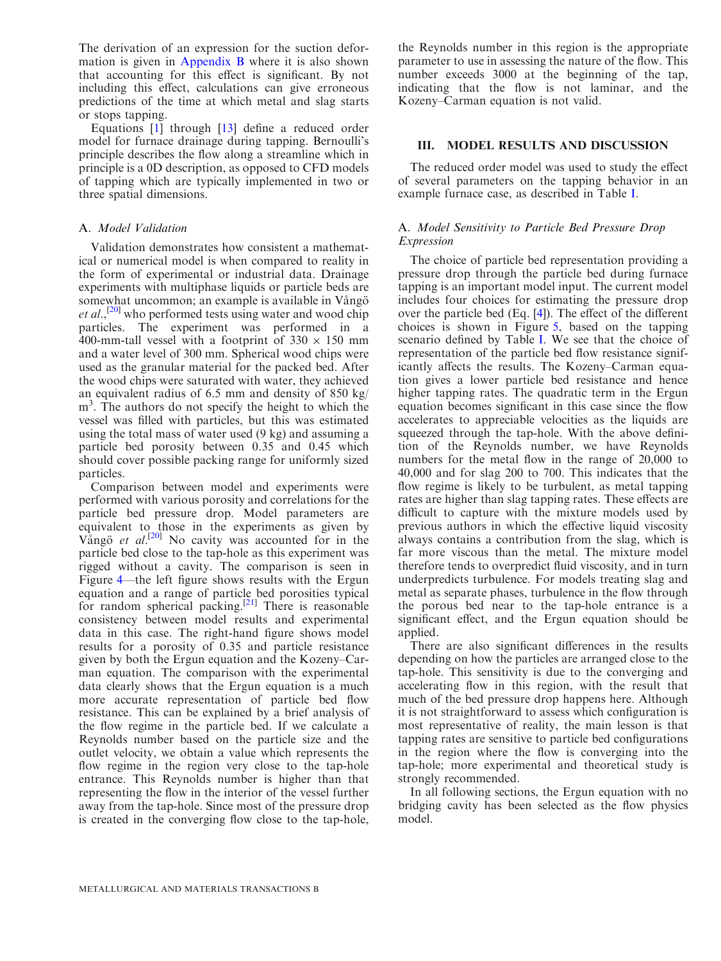The derivation of an expression for the suction deformation is given in Appendix B where it is also shown that accounting for this effect is significant. By not including this effect, calculations can give erroneous predictions of the time at which metal and slag starts or stops tapping.

Equations [[1\]](#page-1-0) through [\[13](#page-3-0)] define a reduced order model for furnace drainage during tapping. Bernoulli's principle describes the flow along a streamline which in principle is a 0D description, as opposed to CFD models of tapping which are typically implemented in two or three spatial dimensions.

## A. Model Validation

Validation demonstrates how consistent a mathematical or numerical model is when compared to reality in the form of experimental or industrial data. Drainage experiments with multiphase liquids or particle beds are somewhat uncommon; an example is available in Vångö et al.,<sup>[\[20\]](#page-9-0)</sup> who performed tests using water and wood chip particles. The experiment was performed in a 400-mm-tall vessel with a footprint of  $330 \times 150$  mm and a water level of 300 mm. Spherical wood chips were used as the granular material for the packed bed. After the wood chips were saturated with water, they achieved an equivalent radius of 6.5 mm and density of 850 kg/ m<sup>3</sup>. The authors do not specify the height to which the vessel was filled with particles, but this was estimated using the total mass of water used (9 kg) and assuming a particle bed porosity between 0.35 and 0.45 which should cover possible packing range for uniformly sized particles.

Comparison between model and experiments were performed with various porosity and correlations for the particle bed pressure drop. Model parameters are equivalent to those in the experiments as given by Vango et  $al$ <sup>[[20](#page-9-0)]</sup> No cavity was accounted for in the particle bed close to the tap-hole as this experiment was rigged without a cavity. The comparison is seen in Figure [4](#page-2-0)—the left figure shows results with the Ergun equation and a range of particle bed porosities typical for random spherical packing.<sup>[\[21\]](#page-9-0)</sup> There is reasonable consistency between model results and experimental data in this case. The right-hand figure shows model results for a porosity of 0.35 and particle resistance given by both the Ergun equation and the Kozeny–Carman equation. The comparison with the experimental data clearly shows that the Ergun equation is a much more accurate representation of particle bed flow resistance. This can be explained by a brief analysis of the flow regime in the particle bed. If we calculate a Reynolds number based on the particle size and the outlet velocity, we obtain a value which represents the flow regime in the region very close to the tap-hole entrance. This Reynolds number is higher than that representing the flow in the interior of the vessel further away from the tap-hole. Since most of the pressure drop is created in the converging flow close to the tap-hole,

the Reynolds number in this region is the appropriate parameter to use in assessing the nature of the flow. This number exceeds 3000 at the beginning of the tap, indicating that the flow is not laminar, and the Kozeny–Carman equation is not valid.

## III. MODEL RESULTS AND DISCUSSION

The reduced order model was used to study the effect of several parameters on the tapping behavior in an example furnace case, as described in Table [I.](#page-5-0)

## A. Model Sensitivity to Particle Bed Pressure Drop Expression

The choice of particle bed representation providing a pressure drop through the particle bed during furnace tapping is an important model input. The current model includes four choices for estimating the pressure drop over the particle bed (Eq. [\[4](#page-3-0)]). The effect of the different choices is shown in Figure [5](#page-5-0), based on the tapping scenario defined by Table [I.](#page-5-0) We see that the choice of representation of the particle bed flow resistance significantly affects the results. The Kozeny–Carman equation gives a lower particle bed resistance and hence higher tapping rates. The quadratic term in the Ergun equation becomes significant in this case since the flow accelerates to appreciable velocities as the liquids are squeezed through the tap-hole. With the above definition of the Reynolds number, we have Reynolds numbers for the metal flow in the range of 20,000 to 40,000 and for slag 200 to 700. This indicates that the flow regime is likely to be turbulent, as metal tapping rates are higher than slag tapping rates. These effects are difficult to capture with the mixture models used by previous authors in which the effective liquid viscosity always contains a contribution from the slag, which is far more viscous than the metal. The mixture model therefore tends to overpredict fluid viscosity, and in turn underpredicts turbulence. For models treating slag and metal as separate phases, turbulence in the flow through the porous bed near to the tap-hole entrance is a significant effect, and the Ergun equation should be applied.

There are also significant differences in the results depending on how the particles are arranged close to the tap-hole. This sensitivity is due to the converging and accelerating flow in this region, with the result that much of the bed pressure drop happens here. Although it is not straightforward to assess which configuration is most representative of reality, the main lesson is that tapping rates are sensitive to particle bed configurations in the region where the flow is converging into the tap-hole; more experimental and theoretical study is strongly recommended.

In all following sections, the Ergun equation with no bridging cavity has been selected as the flow physics model.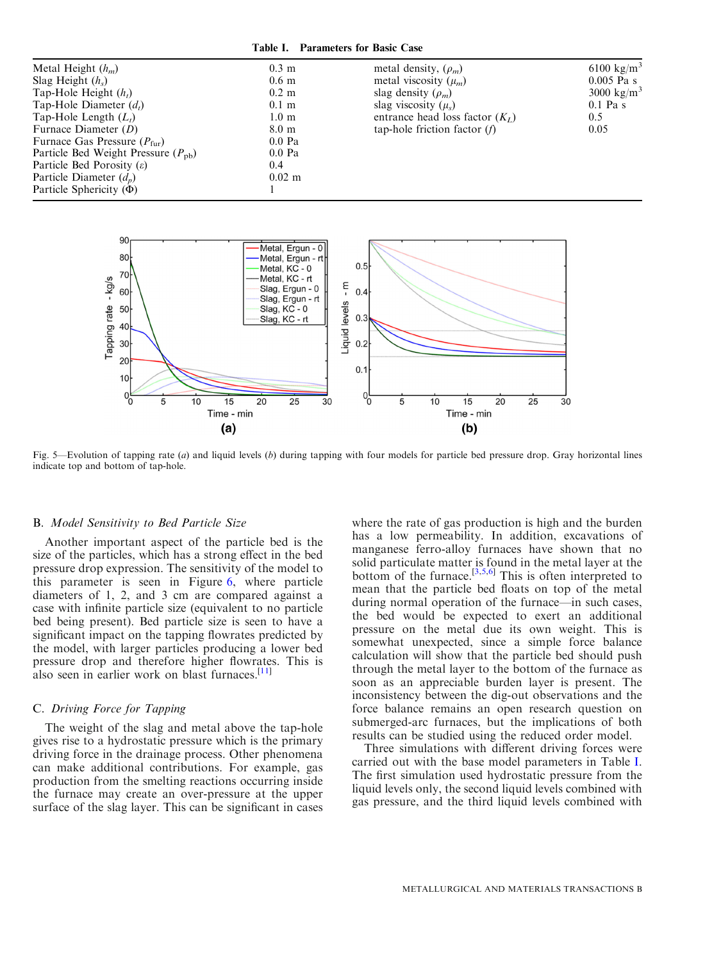<span id="page-5-0"></span>

| $0.3 \text{ m}$  | metal density, $(\rho_m)$         | 6100 kg/m <sup>3</sup> |
|------------------|-----------------------------------|------------------------|
| 0.6 <sub>m</sub> | metal viscosity $(\mu_m)$         | $0.005$ Pa s           |
| $0.2 \text{ m}$  | slag density $(\rho_m)$           | 3000 kg/m <sup>3</sup> |
| $0.1 \text{ m}$  | slag viscosity $(\mu_{s})$        | $0.1$ Pa s             |
| $1.0 \text{ m}$  | entrance head loss factor $(K_L)$ | $0.5^{\circ}$          |
| $8.0 \text{ m}$  | tap-hole friction factor $(f)$    | 0.05                   |
| $0.0$ Pa         |                                   |                        |
| $0.0$ Pa         |                                   |                        |
| $0.4^{\circ}$    |                                   |                        |
| $0.02 \text{ m}$ |                                   |                        |
|                  |                                   |                        |
|                  |                                   |                        |

![](_page_5_Figure_2.jpeg)

Fig. 5—Evolution of tapping rate (*a*) and liquid levels (*b*) during tapping with four models for particle bed pressure drop. Gray horizontal lines indicate top and bottom of tap-hole.

#### B. Model Sensitivity to Bed Particle Size

Another important aspect of the particle bed is the size of the particles, which has a strong effect in the bed pressure drop expression. The sensitivity of the model to this parameter is seen in Figure [6,](#page-6-0) where particle diameters of 1, 2, and 3 cm are compared against a case with infinite particle size (equivalent to no particle bed being present). Bed particle size is seen to have a significant impact on the tapping flowrates predicted by the model, with larger particles producing a lower bed pressure drop and therefore higher flowrates. This is also seen in earlier work on blast furnaces.<sup>[\[11\]](#page-9-0)</sup>

### C. Driving Force for Tapping

The weight of the slag and metal above the tap-hole gives rise to a hydrostatic pressure which is the primary driving force in the drainage process. Other phenomena can make additional contributions. For example, gas production from the smelting reactions occurring inside the furnace may create an over-pressure at the upper surface of the slag layer. This can be significant in cases

where the rate of gas production is high and the burden has a low permeability. In addition, excavations of manganese ferro-alloy furnaces have shown that no solid particulate matter is found in the metal layer at the bottom of the furnace.<sup>[[3,5,6](#page-9-0)]</sup> This is often interpreted to mean that the particle bed floats on top of the metal during normal operation of the furnace—in such cases, the bed would be expected to exert an additional pressure on the metal due its own weight. This is somewhat unexpected, since a simple force balance calculation will show that the particle bed should push through the metal layer to the bottom of the furnace as soon as an appreciable burden layer is present. The inconsistency between the dig-out observations and the force balance remains an open research question on submerged-arc furnaces, but the implications of both results can be studied using the reduced order model.

Three simulations with different driving forces were carried out with the base model parameters in Table I. The first simulation used hydrostatic pressure from the liquid levels only, the second liquid levels combined with gas pressure, and the third liquid levels combined with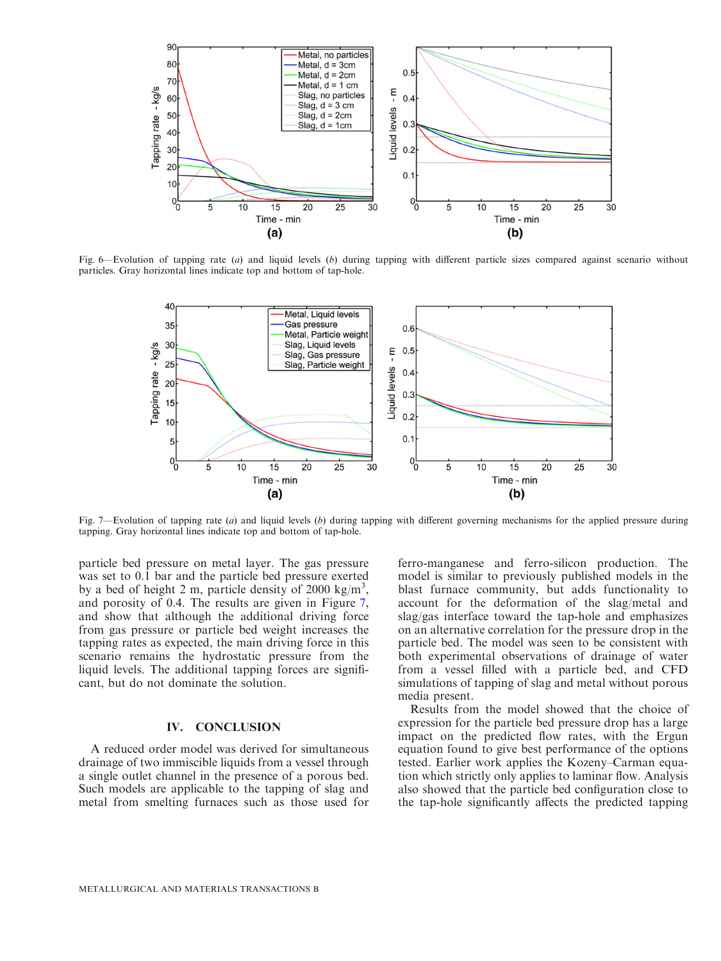<span id="page-6-0"></span>![](_page_6_Figure_0.jpeg)

Fig. 6—Evolution of tapping rate (a) and liquid levels (b) during tapping with different particle sizes compared against scenario without particles. Gray horizontal lines indicate top and bottom of tap-hole.

![](_page_6_Figure_2.jpeg)

Fig. 7—Evolution of tapping rate  $(a)$  and liquid levels  $(b)$  during tapping with different governing mechanisms for the applied pressure during tapping. Gray horizontal lines indicate top and bottom of tap-hole.

particle bed pressure on metal layer. The gas pressure was set to 0.1 bar and the particle bed pressure exerted by a bed of height 2 m, particle density of 2000 kg/m<sup>3</sup>, and porosity of 0.4. The results are given in Figure 7, and show that although the additional driving force from gas pressure or particle bed weight increases the tapping rates as expected, the main driving force in this scenario remains the hydrostatic pressure from the liquid levels. The additional tapping forces are significant, but do not dominate the solution.

## IV. CONCLUSION

A reduced order model was derived for simultaneous drainage of two immiscible liquids from a vessel through a single outlet channel in the presence of a porous bed. Such models are applicable to the tapping of slag and metal from smelting furnaces such as those used for ferro-manganese and ferro-silicon production. The model is similar to previously published models in the blast furnace community, but adds functionality to account for the deformation of the slag/metal and slag/gas interface toward the tap-hole and emphasizes on an alternative correlation for the pressure drop in the particle bed. The model was seen to be consistent with both experimental observations of drainage of water from a vessel filled with a particle bed, and CFD simulations of tapping of slag and metal without porous media present.

Results from the model showed that the choice of expression for the particle bed pressure drop has a large impact on the predicted flow rates, with the Ergun equation found to give best performance of the options tested. Earlier work applies the Kozeny–Carman equation which strictly only applies to laminar flow. Analysis also showed that the particle bed configuration close to the tap-hole significantly affects the predicted tapping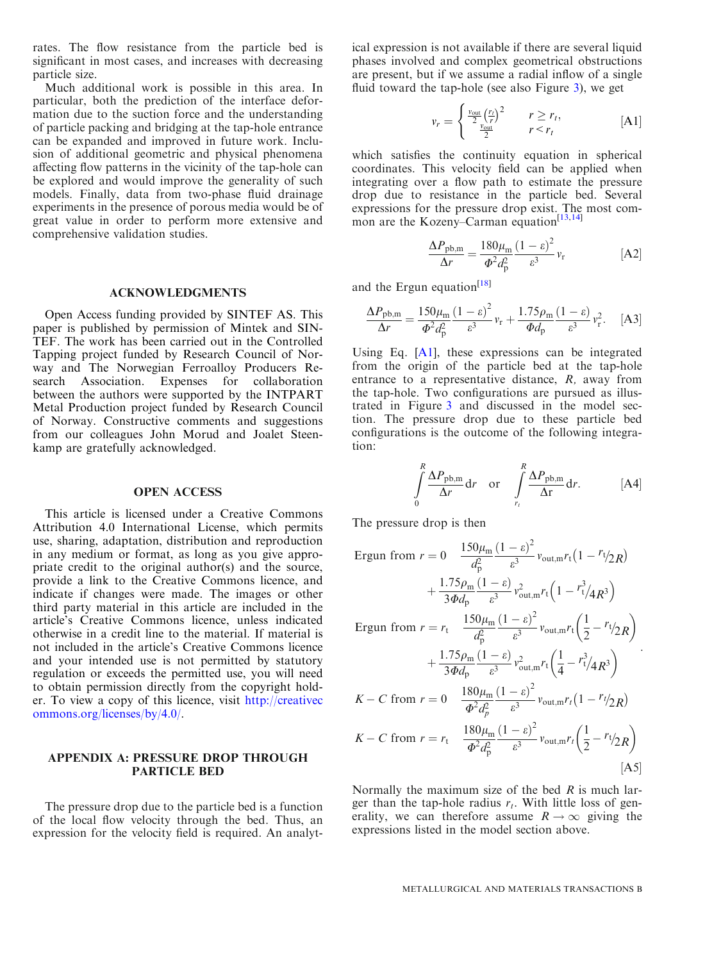<span id="page-7-0"></span>rates. The flow resistance from the particle bed is significant in most cases, and increases with decreasing particle size.

Much additional work is possible in this area. In particular, both the prediction of the interface deformation due to the suction force and the understanding of particle packing and bridging at the tap-hole entrance can be expanded and improved in future work. Inclusion of additional geometric and physical phenomena affecting flow patterns in the vicinity of the tap-hole can be explored and would improve the generality of such models. Finally, data from two-phase fluid drainage experiments in the presence of porous media would be of great value in order to perform more extensive and comprehensive validation studies.

### ACKNOWLEDGMENTS

Open Access funding provided by SINTEF AS. This paper is published by permission of Mintek and SIN-TEF. The work has been carried out in the Controlled Tapping project funded by Research Council of Norway and The Norwegian Ferroalloy Producers Research Association. Expenses for collaboration between the authors were supported by the INTPART Metal Production project funded by Research Council of Norway. Constructive comments and suggestions from our colleagues John Morud and Joalet Steenkamp are gratefully acknowledged.

#### OPEN ACCESS

This article is licensed under a Creative Commons Attribution 4.0 International License, which permits use, sharing, adaptation, distribution and reproduction in any medium or format, as long as you give appropriate credit to the original author(s) and the source, provide a link to the Creative Commons licence, and indicate if changes were made. The images or other third party material in this article are included in the article's Creative Commons licence, unless indicated otherwise in a credit line to the material. If material is not included in the article's Creative Commons licence and your intended use is not permitted by statutory regulation or exceeds the permitted use, you will need to obtain permission directly from the copyright holder. To view a copy of this licence, visit [http://creativec](http://creativecommons.org/licenses/by/4.0/) [ommons.org/licenses/by/4.0/](http://creativecommons.org/licenses/by/4.0/).

#### APPENDIX A: PRESSURE DROP THROUGH PARTICLE BED

The pressure drop due to the particle bed is a function of the local flow velocity through the bed. Thus, an expression for the velocity field is required. An analyt-

ical expression is not available if there are several liquid phases involved and complex geometrical obstructions are present, but if we assume a radial inflow of a single fluid toward the tap-hole (see also Figure [3](#page-2-0)), we get

$$
v_r = \begin{cases} \frac{v_{\text{out}}}{2} \left(\frac{r_t}{r}\right)^2 & r \ge r_t, \\ \frac{v_{\text{out}}}{2} & r < r_t \end{cases} \tag{A1}
$$

which satisfies the continuity equation in spherical coordinates. This velocity field can be applied when integrating over a flow path to estimate the pressure drop due to resistance in the particle bed. Several expressions for the pressure drop exist. The most com-mon are the Kozeny-Carman equation<sup>[\[13,14](#page-9-0)]</sup>

$$
\frac{\Delta P_{\text{pb,m}}}{\Delta r} = \frac{180\mu_{\text{m}}}{\Phi^2 d_{\text{p}}^2} \frac{\left(1 - \varepsilon\right)^2}{\varepsilon^3} v_{\text{r}} \tag{A2}
$$

and the Ergun equation<sup>[\[18\]](#page-9-0)</sup>

$$
\frac{\Delta P_{\text{pb,m}}}{\Delta r} = \frac{150\mu_{\text{m}}}{\Phi^2 d_{\text{p}}^2} \frac{(1-\varepsilon)^2}{\varepsilon^3} v_{\text{r}} + \frac{1.75\rho_{\text{m}}}{\Phi d_{\text{p}}} \frac{(1-\varepsilon)}{\varepsilon^3} v_{\text{r}}^2. \quad \text{[A3]}
$$

Using Eq. [A1], these expressions can be integrated from the origin of the particle bed at the tap-hole entrance to a representative distance, R, away from the tap-hole. Two configurations are pursued as illustrated in Figure [3](#page-2-0) and discussed in the model section. The pressure drop due to these particle bed configurations is the outcome of the following integration:

$$
\int_{0}^{R} \frac{\Delta P_{\text{pb,m}}}{\Delta r} dr \quad \text{or} \quad \int_{r_i}^{R} \frac{\Delta P_{\text{pb,m}}}{\Delta r} dr. \quad [A4]
$$

The pressure drop is then

Ergun from <sup>r</sup> <sup>¼</sup> <sup>0</sup> <sup>150</sup>l<sup>m</sup> d2 p ð Þ 1 e 2 <sup>e</sup><sup>3</sup> <sup>v</sup>out;<sup>m</sup>r<sup>t</sup> <sup>1</sup> r<sup>t</sup> =2R þ 1:75q<sup>m</sup> 3Ud<sup>p</sup> ð Þ 1 e <sup>e</sup><sup>3</sup> <sup>v</sup><sup>2</sup> out;mr<sup>t</sup> 1 r<sup>3</sup> t 4R<sup>3</sup> 150l<sup>m</sup> ð Þ 1 e 2 1 

Ergun from 
$$
r = r_t
$$

\n
$$
\frac{1.75 \rho_m}{d_p^2} \frac{(1 - \varepsilon)}{\varepsilon^3} v_{\text{out,m}} r_t \left( \frac{1}{2} - r_t / 2R \right)
$$
\n
$$
+ \frac{1.75 \rho_m}{3 \Phi d_p} \frac{(1 - \varepsilon)}{\varepsilon^3} v_{\text{out,m}}^2 r_t \left( \frac{1}{4} - r_t^3 / 4R^3 \right)
$$
\n
$$
K - C \text{ from } r = 0
$$
\n
$$
\frac{180 \mu_m}{\Phi^2 d_p^2} \frac{(1 - \varepsilon)^2}{\varepsilon^3} v_{\text{out,m}} r_t \left( 1 - r_t / 2R \right)
$$
\n
$$
K - C \text{ from } r = r_t
$$
\n
$$
\frac{180 \mu_m}{\Phi^2 d_p^2} \frac{(1 - \varepsilon)^2}{\varepsilon^3} v_{\text{out,m}} r_t \left( \frac{1}{2} - r_t / 2R \right)
$$

Normally the maximum size of the bed  $R$  is much larger than the tap-hole radius  $r_t$ . With little loss of generality, we can therefore assume  $R \rightarrow \infty$  giving the expressions listed in the model section above.

 $[A5]$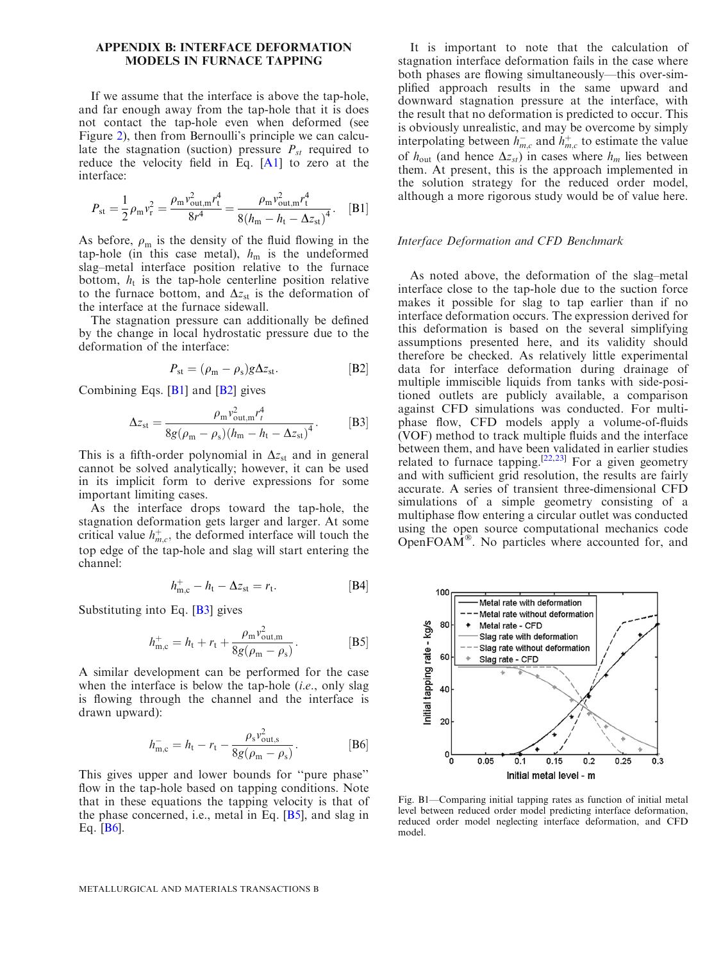#### <span id="page-8-0"></span>APPENDIX B: INTERFACE DEFORMATION MODELS IN FURNACE TAPPING

If we assume that the interface is above the tap-hole, and far enough away from the tap-hole that it is does not contact the tap-hole even when deformed (see Figure [2](#page-2-0)), then from Bernoulli's principle we can calculate the stagnation (suction) pressure  $P_{st}$  required to reduce the velocity field in Eq.  $[A1]$  to zero at the interface:

$$
P_{\rm st} = \frac{1}{2} \rho_{\rm m} v_{\rm r}^2 = \frac{\rho_{\rm m} v_{\rm out,m}^2 r_{\rm t}^4}{8r^4} = \frac{\rho_{\rm m} v_{\rm out,m}^2 r_{\rm t}^4}{8(h_{\rm m} - h_{\rm t} - \Delta z_{\rm st})^4}.
$$
 [B1]

As before,  $\rho_{\rm m}$  is the density of the fluid flowing in the tap-hole (in this case metal),  $h_m$  is the undeformed slag–metal interface position relative to the furnace bottom,  $h_t$  is the tap-hole centerline position relative to the furnace bottom, and  $\Delta z_{st}$  is the deformation of the interface at the furnace sidewall.

The stagnation pressure can additionally be defined by the change in local hydrostatic pressure due to the deformation of the interface:

$$
P_{\rm st} = (\rho_{\rm m} - \rho_{\rm s})g\Delta z_{\rm st}.
$$
 [B2]

Combining Eqs.  $[B1]$  and  $[B2]$  gives

$$
\Delta z_{\rm st} = \frac{\rho_{\rm m} v_{\rm out,m}^2 r_t^4}{8g(\rho_{\rm m} - \rho_{\rm s}) (h_{\rm m} - h_{\rm t} - \Delta z_{\rm st})^4}.
$$
 [B3]

This is a fifth-order polynomial in  $\Delta z_{st}$  and in general cannot be solved analytically; however, it can be used in its implicit form to derive expressions for some important limiting cases.

As the interface drops toward the tap-hole, the stagnation deformation gets larger and larger. At some critical value  $h_{m,c}^+$ , the deformed interface will touch the top edge of the tap-hole and slag will start entering the channel:

$$
h_{\mathbf{m},\mathbf{c}}^+ - h_\mathbf{t} - \Delta z_{\mathbf{st}} = r_\mathbf{t}.\tag{B4}
$$

Substituting into Eq. [B3] gives

$$
h_{\text{m,c}}^{+} = h_{\text{t}} + r_{\text{t}} + \frac{\rho_{\text{m}} v_{\text{out,m}}^2}{8g(\rho_{\text{m}} - \rho_{\text{s}})}.
$$
 [B5]

A similar development can be performed for the case when the interface is below the tap-hole *(i.e., only slag*) is flowing through the channel and the interface is drawn upward):

$$
h_{\text{m,c}}^{-} = h_{\text{t}} - r_{\text{t}} - \frac{\rho_{\text{s}} v_{\text{out,s}}^2}{8g(\rho_{\text{m}} - \rho_{\text{s}})}.
$$
 [B6]

This gives upper and lower bounds for ''pure phase'' flow in the tap-hole based on tapping conditions. Note that in these equations the tapping velocity is that of the phase concerned, i.e., metal in Eq. [B5], and slag in Eq. [B6].

It is important to note that the calculation of stagnation interface deformation fails in the case where both phases are flowing simultaneously—this over-simplified approach results in the same upward and downward stagnation pressure at the interface, with the result that no deformation is predicted to occur. This is obviously unrealistic, and may be overcome by simply interpolating between  $h_{m,c}^-$  and  $h_{m,c}^+$  to estimate the value of  $h_{\text{out}}$  (and hence  $\Delta z_{st}$ ) in cases where  $h_m$  lies between them. At present, this is the approach implemented in the solution strategy for the reduced order model, although a more rigorous study would be of value here.

#### Interface Deformation and CFD Benchmark

As noted above, the deformation of the slag–metal interface close to the tap-hole due to the suction force makes it possible for slag to tap earlier than if no interface deformation occurs. The expression derived for this deformation is based on the several simplifying assumptions presented here, and its validity should therefore be checked. As relatively little experimental data for interface deformation during drainage of multiple immiscible liquids from tanks with side-positioned outlets are publicly available, a comparison against CFD simulations was conducted. For multiphase flow, CFD models apply a volume-of-fluids (VOF) method to track multiple fluids and the interface between them, and have been validated in earlier studies related to furnace tapping.<sup>[[22,23\]](#page-9-0)</sup> For a given geometry and with sufficient grid resolution, the results are fairly accurate. A series of transient three-dimensional CFD simulations of a simple geometry consisting of a multiphase flow entering a circular outlet was conducted using the open source computational mechanics code OpenFOAM<sup>®</sup>. No particles where accounted for, and

![](_page_8_Figure_19.jpeg)

Fig. B1—Comparing initial tapping rates as function of initial metal level between reduced order model predicting interface deformation, reduced order model neglecting interface deformation, and CFD model.